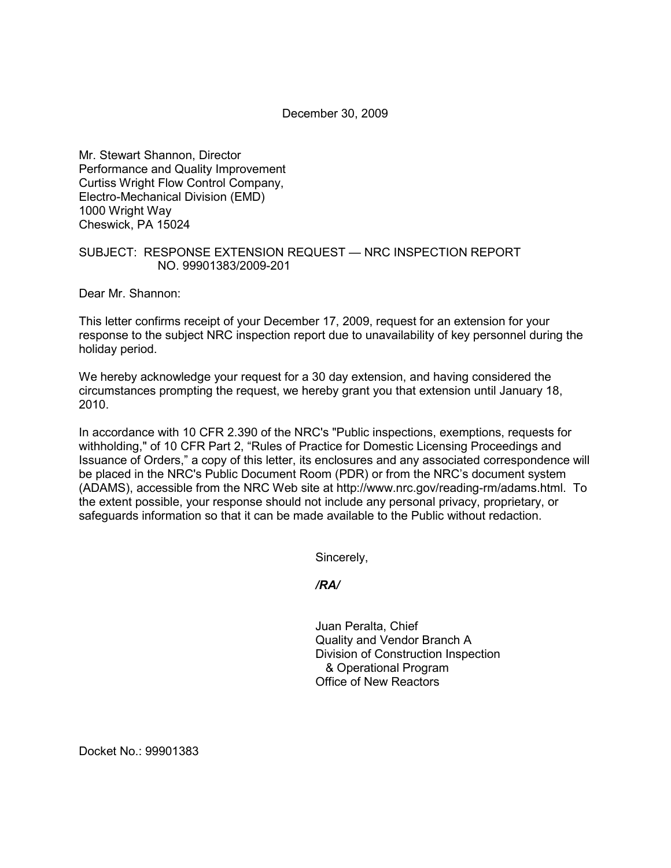December 30, 2009

Mr. Stewart Shannon, Director Performance and Quality Improvement Curtiss Wright Flow Control Company, Electro-Mechanical Division (EMD) 1000 Wright Way Cheswick, PA 15024

## SUBJECT: RESPONSE EXTENSION REQUEST — NRC INSPECTION REPORT NO. 99901383/2009-201

Dear Mr. Shannon:

This letter confirms receipt of your December 17, 2009, request for an extension for your response to the subject NRC inspection report due to unavailability of key personnel during the holiday period.

We hereby acknowledge your request for a 30 day extension, and having considered the circumstances prompting the request, we hereby grant you that extension until January 18, 2010.

In accordance with 10 CFR 2.390 of the NRC's "Public inspections, exemptions, requests for withholding," of 10 CFR Part 2, "Rules of Practice for Domestic Licensing Proceedings and Issuance of Orders," a copy of this letter, its enclosures and any associated correspondence will be placed in the NRC's Public Document Room (PDR) or from the NRC's document system (ADAMS), accessible from the NRC Web site at http://www.nrc.gov/reading-rm/adams.html. To the extent possible, your response should not include any personal privacy, proprietary, or safeguards information so that it can be made available to the Public without redaction.

Sincerely,

*/RA/* 

Juan Peralta, Chief Quality and Vendor Branch A Division of Construction Inspection & Operational Program Office of New Reactors

Docket No.: 99901383